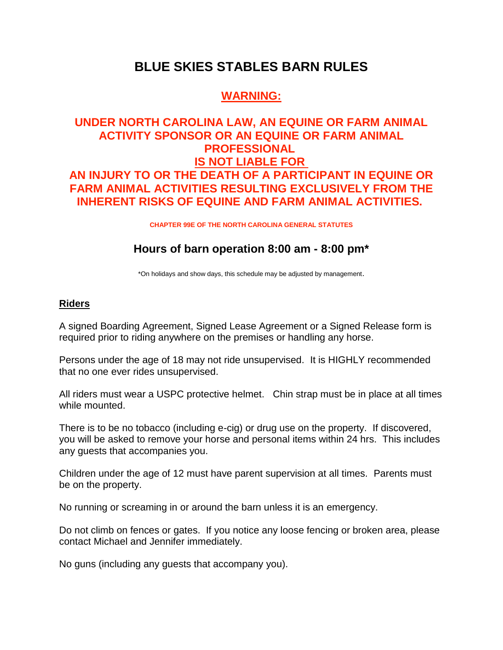# **BLUE SKIES STABLES BARN RULES**

# **WARNING:**

# **UNDER NORTH CAROLINA LAW, AN EQUINE OR FARM ANIMAL ACTIVITY SPONSOR OR AN EQUINE OR FARM ANIMAL PROFESSIONAL IS NOT LIABLE FOR AN INJURY TO OR THE DEATH OF A PARTICIPANT IN EQUINE OR FARM ANIMAL ACTIVITIES RESULTING EXCLUSIVELY FROM THE INHERENT RISKS OF EQUINE AND FARM ANIMAL ACTIVITIES.**

**CHAPTER 99E OF THE NORTH CAROLINA GENERAL STATUTES**

## **Hours of barn operation 8:00 am - 8:00 pm\***

\*On holidays and show days, this schedule may be adjusted by management.

### **Riders**

A signed Boarding Agreement, Signed Lease Agreement or a Signed Release form is required prior to riding anywhere on the premises or handling any horse.

Persons under the age of 18 may not ride unsupervised. It is HIGHLY recommended that no one ever rides unsupervised.

All riders must wear a USPC protective helmet. Chin strap must be in place at all times while mounted.

There is to be no tobacco (including e-cig) or drug use on the property. If discovered, you will be asked to remove your horse and personal items within 24 hrs. This includes any guests that accompanies you.

Children under the age of 12 must have parent supervision at all times. Parents must be on the property.

No running or screaming in or around the barn unless it is an emergency.

Do not climb on fences or gates. If you notice any loose fencing or broken area, please contact Michael and Jennifer immediately.

No guns (including any guests that accompany you).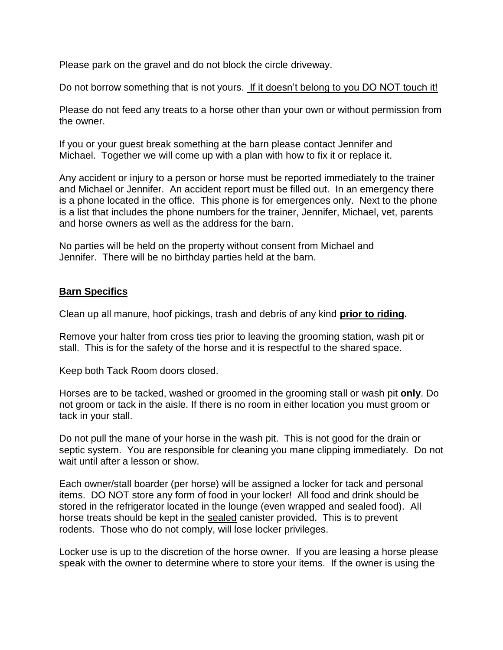Please park on the gravel and do not block the circle driveway.

Do not borrow something that is not yours. If it doesn't belong to you DO NOT touch it!

Please do not feed any treats to a horse other than your own or without permission from the owner.

If you or your guest break something at the barn please contact Jennifer and Michael. Together we will come up with a plan with how to fix it or replace it.

Any accident or injury to a person or horse must be reported immediately to the trainer and Michael or Jennifer. An accident report must be filled out. In an emergency there is a phone located in the office. This phone is for emergences only. Next to the phone is a list that includes the phone numbers for the trainer, Jennifer, Michael, vet, parents and horse owners as well as the address for the barn.

No parties will be held on the property without consent from Michael and Jennifer. There will be no birthday parties held at the barn.

#### **Barn Specifics**

Clean up all manure, hoof pickings, trash and debris of any kind **prior to riding.**

Remove your halter from cross ties prior to leaving the grooming station, wash pit or stall. This is for the safety of the horse and it is respectful to the shared space.

Keep both Tack Room doors closed.

Horses are to be tacked, washed or groomed in the grooming stall or wash pit **only**. Do not groom or tack in the aisle. If there is no room in either location you must groom or tack in your stall.

Do not pull the mane of your horse in the wash pit. This is not good for the drain or septic system. You are responsible for cleaning you mane clipping immediately. Do not wait until after a lesson or show.

Each owner/stall boarder (per horse) will be assigned a locker for tack and personal items. DO NOT store any form of food in your locker! All food and drink should be stored in the refrigerator located in the lounge (even wrapped and sealed food). All horse treats should be kept in the sealed canister provided. This is to prevent rodents. Those who do not comply, will lose locker privileges.

Locker use is up to the discretion of the horse owner. If you are leasing a horse please speak with the owner to determine where to store your items. If the owner is using the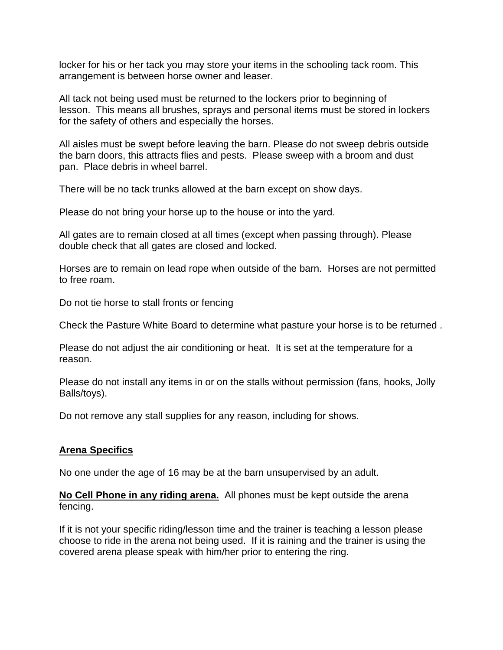locker for his or her tack you may store your items in the schooling tack room. This arrangement is between horse owner and leaser.

All tack not being used must be returned to the lockers prior to beginning of lesson. This means all brushes, sprays and personal items must be stored in lockers for the safety of others and especially the horses.

All aisles must be swept before leaving the barn. Please do not sweep debris outside the barn doors, this attracts flies and pests. Please sweep with a broom and dust pan. Place debris in wheel barrel.

There will be no tack trunks allowed at the barn except on show days.

Please do not bring your horse up to the house or into the yard.

All gates are to remain closed at all times (except when passing through). Please double check that all gates are closed and locked.

Horses are to remain on lead rope when outside of the barn. Horses are not permitted to free roam.

Do not tie horse to stall fronts or fencing

Check the Pasture White Board to determine what pasture your horse is to be returned .

Please do not adjust the air conditioning or heat. It is set at the temperature for a reason.

Please do not install any items in or on the stalls without permission (fans, hooks, Jolly Balls/toys).

Do not remove any stall supplies for any reason, including for shows.

### **Arena Specifics**

No one under the age of 16 may be at the barn unsupervised by an adult.

**No Cell Phone in any riding arena.** All phones must be kept outside the arena fencing.

If it is not your specific riding/lesson time and the trainer is teaching a lesson please choose to ride in the arena not being used. If it is raining and the trainer is using the covered arena please speak with him/her prior to entering the ring.